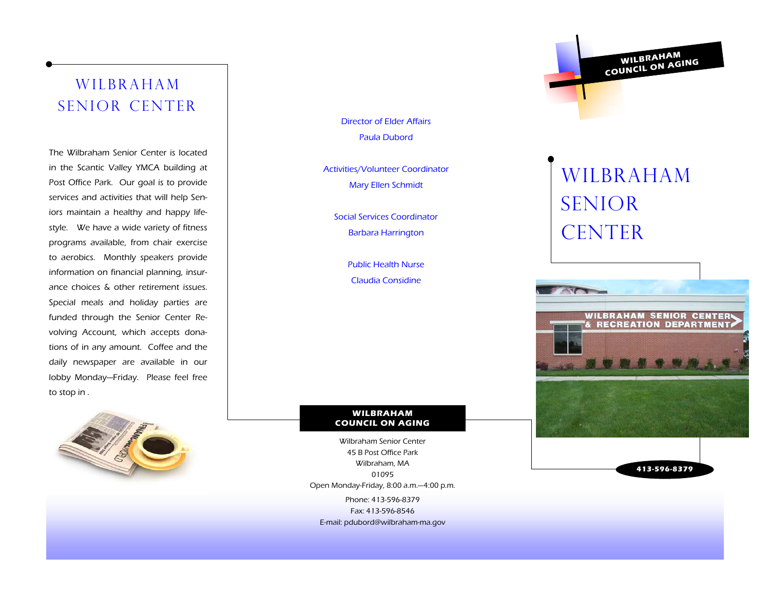## WILBRAHAM SENIOR CENTER

The Wilbraham Senior Center is located in the Scantic Valley YMCA building at Post Office Park. Our goal is to provide services and activities that will help Seniors maintain a healthy and happy lifestyle. We have a wide variety of fitness programs available, from chair exercise to aerobics. Monthly speakers provide information on financial planning, insurance choices & other retirement issues. Special meals and holiday parties are funded through the Senior Center Revolving Account, which accepts donations of in any amount. Coffee and the daily newspaper are available in our lobby Monday—Friday. Please feel free to stop in .



Director of Elder Affairs Paula Dubord

Activities/Volunteer Coordinator Mary Ellen Schmidt

Social Services Coordinator Barbara Harrington

> Public Health Nurse Claudia Considine

#### **WILBRAHAM COUNCIL ON AGING**

Phone: 413-596-8379 Fax: 413-596-8546 E-mail: pdubord@wilbraham-ma.gov Wilbraham Senior Center 45 B Post Office Park Wilbraham, MA 01095 Open Monday-Friday, 8:00 a.m.—4:00 p.m.

# WILBRAHAM SENIOR CENTER

**WILBRAHAM**<br>COUNCIL ON AGING



**413-596-8379**